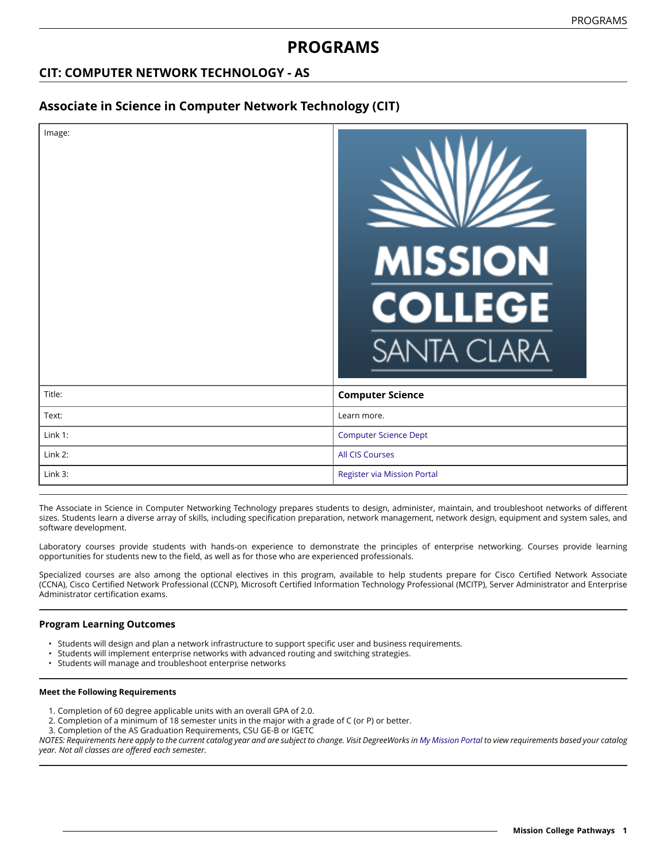# **PROGRAMS**

## **CIT: COMPUTER NETWORK TECHNOLOGY - AS**

## **Associate in Science in Computer Network Technology (CIT)**

| Image:  | <b>MISSION</b><br><b>COLLEGE</b><br><b>SANTA CLARA</b> |
|---------|--------------------------------------------------------|
| Title:  | <b>Computer Science</b>                                |
| Text:   | Learn more.                                            |
| Link 1: | <b>Computer Science Dept</b>                           |
| Link 2: | <b>All CIS Courses</b>                                 |
| Link 3: | <b>Register via Mission Portal</b>                     |

The Associate in Science in Computer Networking Technology prepares students to design, administer, maintain, and troubleshoot networks of different sizes. Students learn a diverse array of skills, including specification preparation, network management, network design, equipment and system sales, and software development.

Laboratory courses provide students with hands-on experience to demonstrate the principles of enterprise networking. Courses provide learning opportunities for students new to the field, as well as for those who are experienced professionals.

Specialized courses are also among the optional electives in this program, available to help students prepare for Cisco Certified Network Associate (CCNA), Cisco Certified Network Professional (CCNP), Microsoft Certified Information Technology Professional (MCITP), Server Administrator and Enterprise Administrator certification exams.

### **Program Learning Outcomes**

- Students will design and plan a network infrastructure to support specific user and business requirements.
- Students will implement enterprise networks with advanced routing and switching strategies.
- Students will manage and troubleshoot enterprise networks

#### **Meet the Following Requirements**

- 1. Completion of 60 degree applicable units with an overall GPA of 2.0.
- 2. Completion of a minimum of 18 semester units in the major with a grade of C (or P) or better.
- 3. Completion of the AS Graduation Requirements, CSU GE-B or IGETC

NOTES: Requirements here apply to the current catalog year and are subject to change. Visit DegreeWorks in [My Mission Portal](https://wvmccd.sharepoint.com/sites/MCPortal) to view requirements based your catalog *year. Not all classes are offered each semester.*